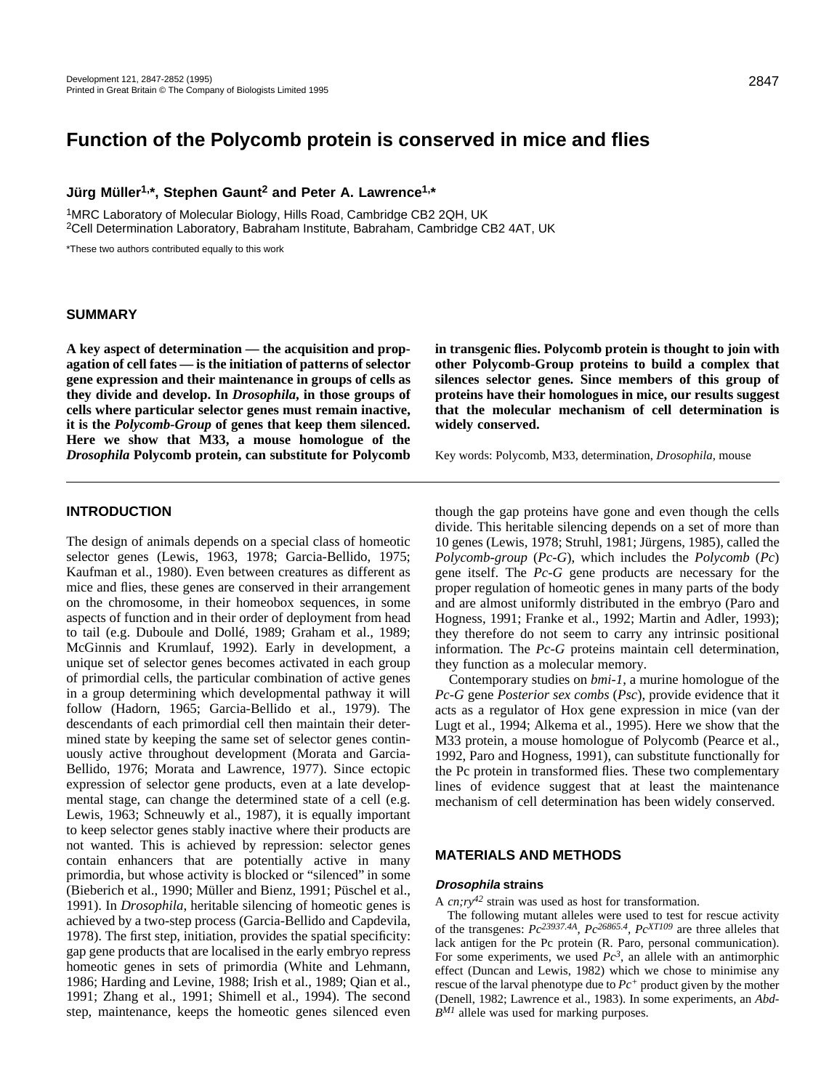# **Function of the Polycomb protein is conserved in mice and flies**

**Jürg Müller1,\*, Stephen Gaunt2 and Peter A. Lawrence1,\***

1MRC Laboratory of Molecular Biology, Hills Road, Cambridge CB2 2QH, UK 2Cell Determination Laboratory, Babraham Institute, Babraham, Cambridge CB2 4AT, UK

\*These two authors contributed equally to this work

### **SUMMARY**

**A key aspect of determination — the acquisition and propagation of cell fates — is the initiation of patterns of selector gene expression and their maintenance in groups of cells as they divide and develop. In** *Drosophila***, in those groups of cells where particular selector genes must remain inactive, it is the** *Polycomb-Group* **of genes that keep them silenced. Here we show that M33, a mouse homologue of the** *Drosophila* **Polycomb protein, can substitute for Polycomb** **in transgenic flies. Polycomb protein is thought to join with other Polycomb-Group proteins to build a complex that silences selector genes. Since members of this group of proteins have their homologues in mice, our results suggest that the molecular mechanism of cell determination is widely conserved.**

Key words: Polycomb, M33, determination, *Drosophila*, mouse

### **INTRODUCTION**

The design of animals depends on a special class of homeotic selector genes (Lewis, 1963, 1978; Garcia-Bellido, 1975; Kaufman et al., 1980). Even between creatures as different as mice and flies, these genes are conserved in their arrangement on the chromosome, in their homeobox sequences, in some aspects of function and in their order of deployment from head to tail (e.g. Duboule and Dollé, 1989; Graham et al., 1989; McGinnis and Krumlauf, 1992). Early in development, a unique set of selector genes becomes activated in each group of primordial cells, the particular combination of active genes in a group determining which developmental pathway it will follow (Hadorn, 1965; Garcia-Bellido et al., 1979). The descendants of each primordial cell then maintain their determined state by keeping the same set of selector genes continuously active throughout development (Morata and Garcia-Bellido, 1976; Morata and Lawrence, 1977). Since ectopic expression of selector gene products, even at a late developmental stage, can change the determined state of a cell (e.g. Lewis, 1963; Schneuwly et al., 1987), it is equally important to keep selector genes stably inactive where their products are not wanted. This is achieved by repression: selector genes contain enhancers that are potentially active in many primordia, but whose activity is blocked or "silenced" in some (Bieberich et al., 1990; Müller and Bienz, 1991; Püschel et al., 1991). In *Drosophila*, heritable silencing of homeotic genes is achieved by a two-step process (Garcia-Bellido and Capdevila, 1978). The first step, initiation, provides the spatial specificity: gap gene products that are localised in the early embryo repress homeotic genes in sets of primordia (White and Lehmann, 1986; Harding and Levine, 1988; Irish et al., 1989; Qian et al., 1991; Zhang et al., 1991; Shimell et al., 1994). The second step, maintenance, keeps the homeotic genes silenced even

though the gap proteins have gone and even though the cells divide. This heritable silencing depends on a set of more than 10 genes (Lewis, 1978; Struhl, 1981; Jürgens, 1985), called the *Polycomb-group* (*Pc-G*), which includes the *Polycomb* (*Pc*) gene itself. The *Pc-G* gene products are necessary for the proper regulation of homeotic genes in many parts of the body and are almost uniformly distributed in the embryo (Paro and Hogness, 1991; Franke et al., 1992; Martin and Adler, 1993); they therefore do not seem to carry any intrinsic positional information. The *Pc-G* proteins maintain cell determination, they function as a molecular memory.

Contemporary studies on *bmi-1*, a murine homologue of the *Pc-G* gene *Posterior sex combs* (*Psc*), provide evidence that it acts as a regulator of Hox gene expression in mice (van der Lugt et al., 1994; Alkema et al., 1995). Here we show that the M33 protein, a mouse homologue of Polycomb (Pearce et al., 1992, Paro and Hogness, 1991), can substitute functionally for the Pc protein in transformed flies. These two complementary lines of evidence suggest that at least the maintenance mechanism of cell determination has been widely conserved.

### **MATERIALS AND METHODS**

#### **Drosophila strains**

A *cn:rv*<sup>42</sup> strain was used as host for transformation.

The following mutant alleles were used to test for rescue activity of the transgenes: *Pc23937.4A*, *Pc26865.4, PcXT109* are three alleles that lack antigen for the Pc protein (R. Paro, personal communication). For some experiments, we used  $Pc<sup>3</sup>$ , an allele with an antimorphic effect (Duncan and Lewis, 1982) which we chose to minimise any rescue of the larval phenotype due to  $Pc^+$  product given by the mother (Denell, 1982; Lawrence et al., 1983). In some experiments, an *Abd-BM1* allele was used for marking purposes.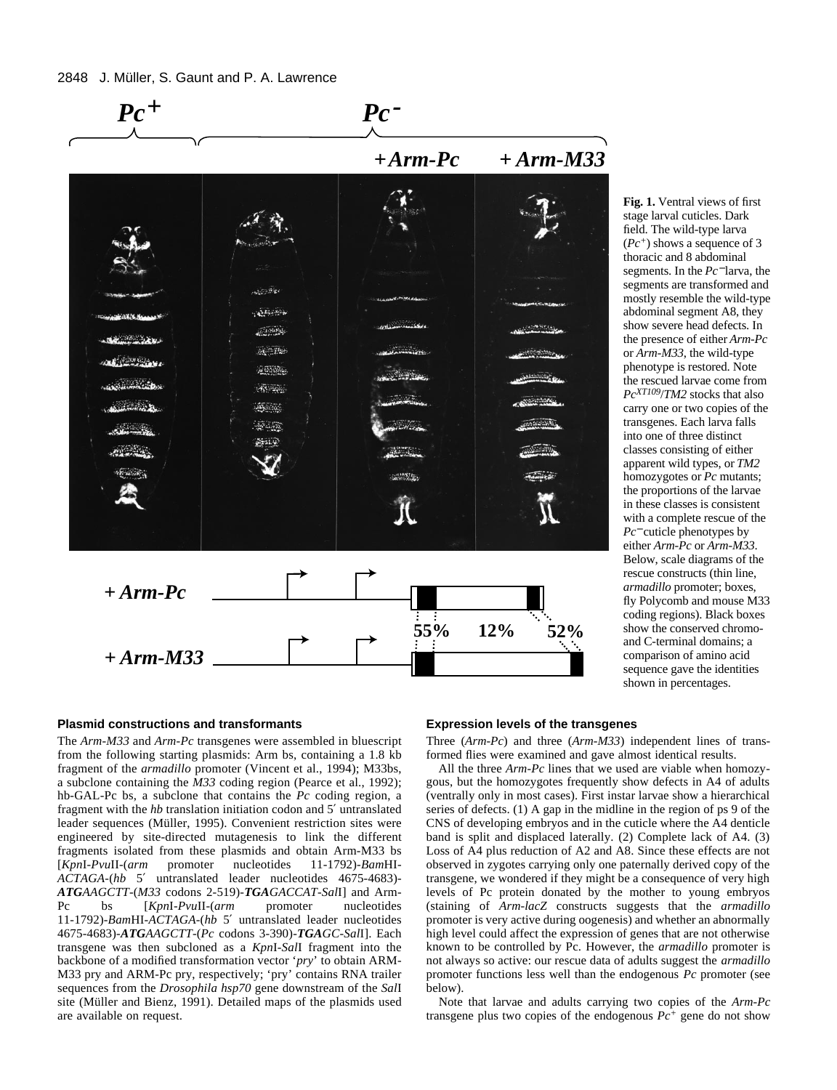### 2848 J. Müller, S. Gaunt and P. A. Lawrence



stage larval cuticles. Dark field. The wild-type larva (*Pc+*) shows a sequence of 3 thoracic and 8 abdominal segments. In the *Pc*<sup>−</sup> larva, the segments are transformed and mostly resemble the wild-type abdominal segment A8, they show severe head defects. In the presence of either *Arm-Pc* or *Arm-M33*, the wild-type phenotype is restored. Note the rescued larvae come from *PcXT109*/*TM2* stocks that also carry one or two copies of the transgenes. Each larva falls into one of three distinct classes consisting of either apparent wild types, or *TM2* homozygotes or *Pc* mutants; the proportions of the larvae in these classes is consistent with a complete rescue of the *Pc*<sup>−</sup> cuticle phenotypes by either *Arm-Pc* or *Arm-M33*. Below, scale diagrams of the rescue constructs (thin line, *armadillo* promoter; boxes, fly Polycomb and mouse M33 coding regions). Black boxes show the conserved chromoand C-terminal domains; a comparison of amino acid sequence gave the identities shown in percentages.

### **Plasmid constructions and transformants**

The *Arm-M33* and *Arm-Pc* transgenes were assembled in bluescript from the following starting plasmids: Arm bs, containing a 1.8 kb fragment of the *armadillo* promoter (Vincent et al., 1994); M33bs, a subclone containing the *M33* coding region (Pearce et al., 1992); hb-GAL-Pc bs, a subclone that contains the *Pc* coding region, a fragment with the *hb* translation initiation codon and 5′ untranslated leader sequences (Müller, 1995). Convenient restriction sites were engineered by site-directed mutagenesis to link the different fragments isolated from these plasmids and obtain Arm-M33 bs [*Kpn*I-*Pvu*II-(*arm* promoter nucleotides 11-1792)-*Bam*HI-*ACTAGA*-(*hb* 5′ untranslated leader nucleotides 4675-4683)- *ATGAAGCTT*-(*M33* codons 2-519)-*TGAGACCAT-Sal*I] and Arm-Pc bs [*Kpn*I-*Pvu*II-(*arm* promoter nucleotides 11-1792)-*Bam*HI-*ACTAGA*-(*hb* 5′ untranslated leader nucleotides 4675-4683)-*ATGAAGCTT*-(*Pc* codons 3-390)-*TGAGC*-*Sal*I]. Each transgene was then subcloned as a *Kpn*I-*Sal*I fragment into the backbone of a modified transformation vector '*pry*' to obtain ARM-M33 pry and ARM-Pc pry, respectively; 'pry' contains RNA trailer sequences from the *Drosophila hsp70* gene downstream of the *Sal*I site (Müller and Bienz, 1991). Detailed maps of the plasmids used are available on request.

## **Expression levels of the transgenes**

Three (*Arm-Pc*) and three (*Arm-M33*) independent lines of transformed flies were examined and gave almost identical results.

All the three *Arm-Pc* lines that we used are viable when homozygous, but the homozygotes frequently show defects in A4 of adults (ventrally only in most cases). First instar larvae show a hierarchical series of defects. (1) A gap in the midline in the region of ps 9 of the CNS of developing embryos and in the cuticle where the A4 denticle band is split and displaced laterally. (2) Complete lack of A4. (3) Loss of A4 plus reduction of A2 and A8. Since these effects are not observed in zygotes carrying only one paternally derived copy of the transgene, we wondered if they might be a consequence of very high levels of Pc protein donated by the mother to young embryos (staining of *Arm-lacZ* constructs suggests that the *armadillo* promoter is very active during oogenesis) and whether an abnormally high level could affect the expression of genes that are not otherwise known to be controlled by Pc. However, the *armadillo* promoter is not always so active: our rescue data of adults suggest the *armadillo* promoter functions less well than the endogenous *Pc* promoter (see  $\bar{\text{below}}$ ).

Note that larvae and adults carrying two copies of the *Arm-Pc* transgene plus two copies of the endogenous *Pc+* gene do not show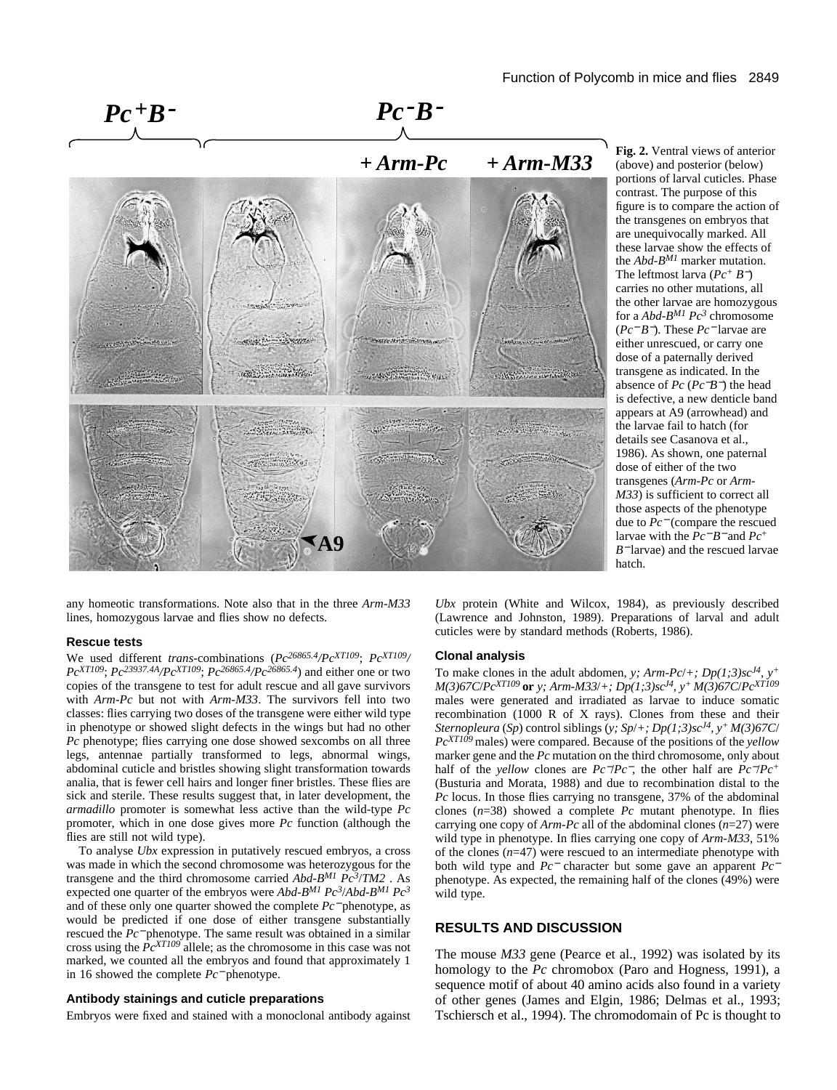

**Fig. 2.** Ventral views of anterior (above) and posterior (below) portions of larval cuticles. Phase contrast. The purpose of this figure is to compare the action of the transgenes on embryos that are unequivocally marked. All these larvae show the effects of the *Abd-BM1* marker mutation. The leftmost larva (*Pc<sup>+</sup> B*−) carries no other mutations, all the other larvae are homozygous for a *Abd-BM1 Pc3* chromosome (*Pc*<sup>−</sup> *B*−). These *Pc*<sup>−</sup> larvae are either unrescued, or carry one dose of a paternally derived transgene as indicated. In the absence of *Pc* (*Pc*−*B*−) the head is defective, a new denticle band appears at A9 (arrowhead) and the larvae fail to hatch (for details see Casanova et al., 1986). As shown, one paternal dose of either of the two transgenes (*Arm-Pc* or *Arm-M33*) is sufficient to correct all those aspects of the phenotype due to *Pc*<sup>−</sup> (compare the rescued larvae with the *Pc*<sup>−</sup> *B*<sup>−</sup> and *Pc*<sup>+</sup> *B*<sup>−</sup> larvae) and the rescued larvae hatch.

any homeotic transformations. Note also that in the three *Arm-M33* lines, homozygous larvae and flies show no defects.

**A9**

#### **Rescue tests**

We used different *trans*-combinations (*Pc26865.4/PcXT109*; *PcXT109/ PcXT109*; *Pc23937.4A/PcXT109*; *Pc26865.4/Pc26865.4*) and either one or two copies of the transgene to test for adult rescue and all gave survivors with *Arm-Pc* but not with *Arm-M33*. The survivors fell into two classes: flies carrying two doses of the transgene were either wild type in phenotype or showed slight defects in the wings but had no other *Pc* phenotype; flies carrying one dose showed sexcombs on all three legs, antennae partially transformed to legs, abnormal wings, abdominal cuticle and bristles showing slight transformation towards analia, that is fewer cell hairs and longer finer bristles. These flies are sick and sterile. These results suggest that, in later development, the *armadillo* promoter is somewhat less active than the wild-type *Pc* promoter, which in one dose gives more *Pc* function (although the flies are still not wild type).

To analyse *Ubx* expression in putatively rescued embryos, a cross was made in which the second chromosome was heterozygous for the transgene and the third chromosome carried *Abd-BM1 Pc3*/*TM2* . As expected one quarter of the embryos were *Abd-BM1 Pc3*/*Abd-BM1 Pc3* and of these only one quarter showed the complete *Pc*<sup>−</sup> phenotype, as would be predicted if one dose of either transgene substantially rescued the *Pc*<sup>−</sup> phenotype. The same result was obtained in a similar cross using the *PcXT109* allele; as the chromosome in this case was not marked, we counted all the embryos and found that approximately 1 in 16 showed the complete *Pc*<sup>−</sup> phenotype.

### **Antibody stainings and cuticle preparations**

Embryos were fixed and stained with a monoclonal antibody against

*Ubx* protein (White and Wilcox, 1984), as previously described (Lawrence and Johnston, 1989). Preparations of larval and adult cuticles were by standard methods (Roberts, 1986).

#### **Clonal analysis**

To make clones in the adult abdomen, *y*;  $Arm\text{-}Pc/\text{+}$ ;  $Dp(1;3)sc^{14}$ ,  $y^{+}$ *M(3)67C*/*PcXT109* **or** *y; Arm-M33*/*+; Dp(1;3)scJ4, y+ M(3)67C*/*PcXT109* males were generated and irradiated as larvae to induce somatic recombination (1000 R of X rays). Clones from these and their *Sternopleura* (*Sp*) control siblings (*y; Sp*/*+; Dp(1;3)scJ4, y+ M(3)67C*/ *PcXT109* males) were compared. Because of the positions of the *yellow* marker gene and the *Pc* mutation on the third chromosome, only about half of the *yellow* clones are *Pc*−/*Pc*−, the other half are *Pc*−/*Pc+* (Busturia and Morata, 1988) and due to recombination distal to the *Pc* locus. In those flies carrying no transgene, 37% of the abdominal clones (*n*=38) showed a complete *Pc* mutant phenotype. In flies carrying one copy of *Arm-Pc* all of the abdominal clones (*n*=27) were wild type in phenotype. In flies carrying one copy of *Arm-M33*, 51% of the clones  $(n=47)$  were rescued to an intermediate phenotype with both wild type and *Pc*<sup>−</sup> character but some gave an apparent *Pc*<sup>−</sup> phenotype. As expected, the remaining half of the clones (49%) were wild type.

# **RESULTS AND DISCUSSION**

The mouse *M33* gene (Pearce et al., 1992) was isolated by its homology to the *Pc* chromobox (Paro and Hogness, 1991), a sequence motif of about 40 amino acids also found in a variety of other genes (James and Elgin, 1986; Delmas et al., 1993; Tschiersch et al., 1994). The chromodomain of Pc is thought to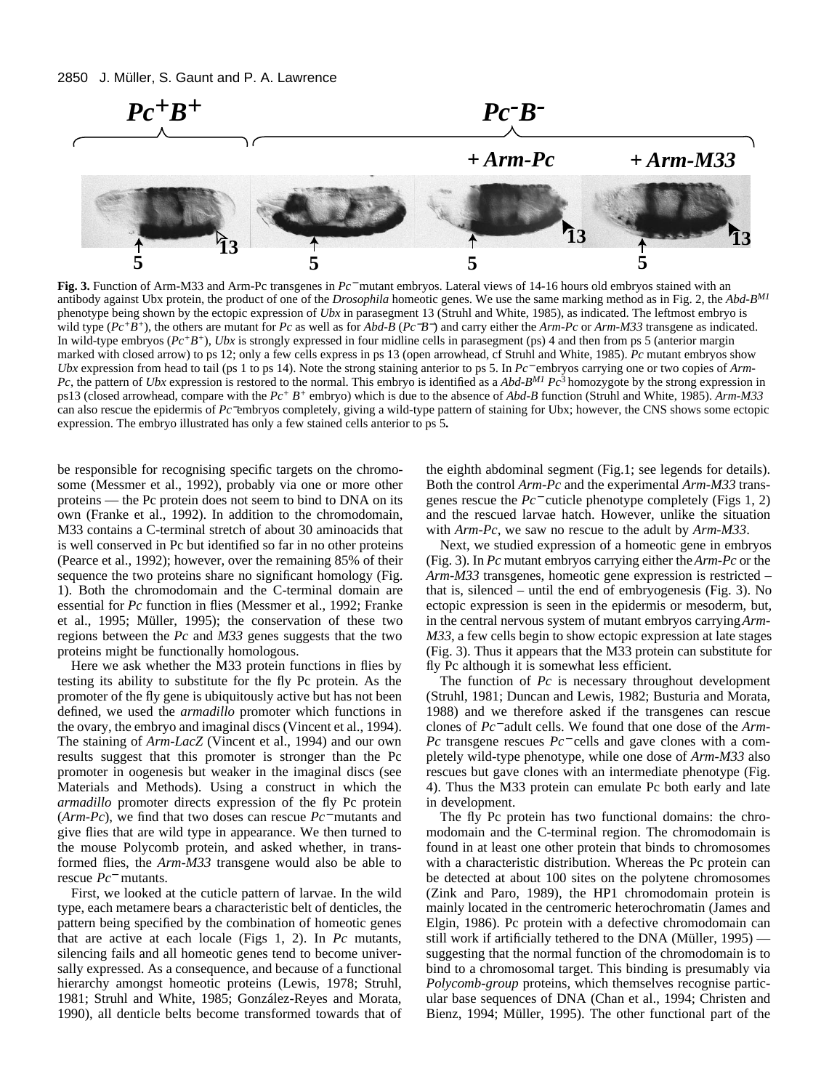

**Fig. 3.** Function of Arm-M33 and Arm-Pc transgenes in *Pc*<sup>−</sup> mutant embryos. Lateral views of 14-16 hours old embryos stained with an antibody against Ubx protein, the product of one of the *Drosophila* homeotic genes. We use the same marking method as in Fig. 2, the *Abd-BM1* phenotype being shown by the ectopic expression of *Ubx* in parasegment 13 (Struhl and White, 1985), as indicated. The leftmost embryo is wild type (*Pc+B+*), the others are mutant for *Pc* as well as for *Abd-B* (*Pc*−*B*−) and carry either the *Arm-Pc* or *Arm-M33* transgene as indicated. In wild-type embryos (*Pc+B+*), *Ubx* is strongly expressed in four midline cells in parasegment (ps) 4 and then from ps 5 (anterior margin marked with closed arrow) to ps 12; only a few cells express in ps 13 (open arrowhead, cf Struhl and White, 1985). *Pc* mutant embryos show *Ubx* expression from head to tail (ps 1 to ps 14). Note the strong staining anterior to ps 5. In *Pc*<sup>−</sup> embryos carrying one or two copies of *Arm-Pc*, the pattern of *Ubx* expression is restored to the normal. This embryo is identified as a *Abd-BM1 Pc*3 homozygote by the strong expression in ps13 (closed arrowhead, compare with the *Pc+ B<sup>+</sup>* embryo) which is due to the absence of *Abd-B* function (Struhl and White, 1985). *Arm-M33* can also rescue the epidermis of *Pc*−embryos completely, giving a wild-type pattern of staining for Ubx; however, the CNS shows some ectopic expression. The embryo illustrated has only a few stained cells anterior to ps 5**.**

be responsible for recognising specific targets on the chromosome (Messmer et al., 1992), probably via one or more other proteins — the Pc protein does not seem to bind to DNA on its own (Franke et al., 1992). In addition to the chromodomain, M33 contains a C-terminal stretch of about 30 aminoacids that is well conserved in Pc but identified so far in no other proteins (Pearce et al., 1992); however, over the remaining 85% of their sequence the two proteins share no significant homology (Fig. 1). Both the chromodomain and the C-terminal domain are essential for *Pc* function in flies (Messmer et al., 1992; Franke et al., 1995; Müller, 1995); the conservation of these two regions between the *Pc* and *M33* genes suggests that the two proteins might be functionally homologous.

Here we ask whether the M33 protein functions in flies by testing its ability to substitute for the fly Pc protein. As the promoter of the fly gene is ubiquitously active but has not been defined, we used the *armadillo* promoter which functions in the ovary, the embryo and imaginal discs (Vincent et al., 1994). The staining of *Arm-LacZ* (Vincent et al., 1994) and our own results suggest that this promoter is stronger than the Pc promoter in oogenesis but weaker in the imaginal discs (see Materials and Methods). Using a construct in which the *armadillo* promoter directs expression of the fly Pc protein (*Arm-Pc*), we find that two doses can rescue *Pc*<sup>−</sup> mutants and give flies that are wild type in appearance. We then turned to the mouse Polycomb protein, and asked whether, in transformed flies, the *Arm-M33* transgene would also be able to rescue *Pc*<sup>−</sup> mutants.

First, we looked at the cuticle pattern of larvae. In the wild type, each metamere bears a characteristic belt of denticles, the pattern being specified by the combination of homeotic genes that are active at each locale (Figs 1, 2). In *Pc* mutants, silencing fails and all homeotic genes tend to become universally expressed. As a consequence, and because of a functional hierarchy amongst homeotic proteins (Lewis, 1978; Struhl, 1981; Struhl and White, 1985; González-Reyes and Morata, 1990), all denticle belts become transformed towards that of the eighth abdominal segment (Fig.1; see legends for details). Both the control *Arm-Pc* and the experimental *Arm-M33* transgenes rescue the *Pc*<sup>−</sup> cuticle phenotype completely (Figs 1, 2) and the rescued larvae hatch. However, unlike the situation with *Arm-Pc*, we saw no rescue to the adult by *Arm-M33*.

Next, we studied expression of a homeotic gene in embryos (Fig. 3). In *Pc* mutant embryos carrying either the *Arm-Pc* or the *Arm-M33* transgenes, homeotic gene expression is restricted – that is, silenced – until the end of embryogenesis (Fig. 3). No ectopic expression is seen in the epidermis or mesoderm, but, in the central nervous system of mutant embryos carrying *Arm-M33*, a few cells begin to show ectopic expression at late stages (Fig. 3). Thus it appears that the M33 protein can substitute for fly Pc although it is somewhat less efficient.

The function of *Pc* is necessary throughout development (Struhl, 1981; Duncan and Lewis, 1982; Busturia and Morata, 1988) and we therefore asked if the transgenes can rescue clones of *Pc*<sup>−</sup> adult cells. We found that one dose of the *Arm-Pc* transgene rescues *Pc*<sup>−</sup> cells and gave clones with a completely wild-type phenotype, while one dose of *Arm-M33* also rescues but gave clones with an intermediate phenotype (Fig. 4). Thus the M33 protein can emulate Pc both early and late in development.

The fly Pc protein has two functional domains: the chromodomain and the C-terminal region. The chromodomain is found in at least one other protein that binds to chromosomes with a characteristic distribution. Whereas the Pc protein can be detected at about 100 sites on the polytene chromosomes (Zink and Paro, 1989), the HP1 chromodomain protein is mainly located in the centromeric heterochromatin (James and Elgin, 1986). Pc protein with a defective chromodomain can still work if artificially tethered to the DNA (Müller, 1995) suggesting that the normal function of the chromodomain is to bind to a chromosomal target. This binding is presumably via *Polycomb-group* proteins, which themselves recognise particular base sequences of DNA (Chan et al., 1994; Christen and Bienz, 1994; Müller, 1995). The other functional part of the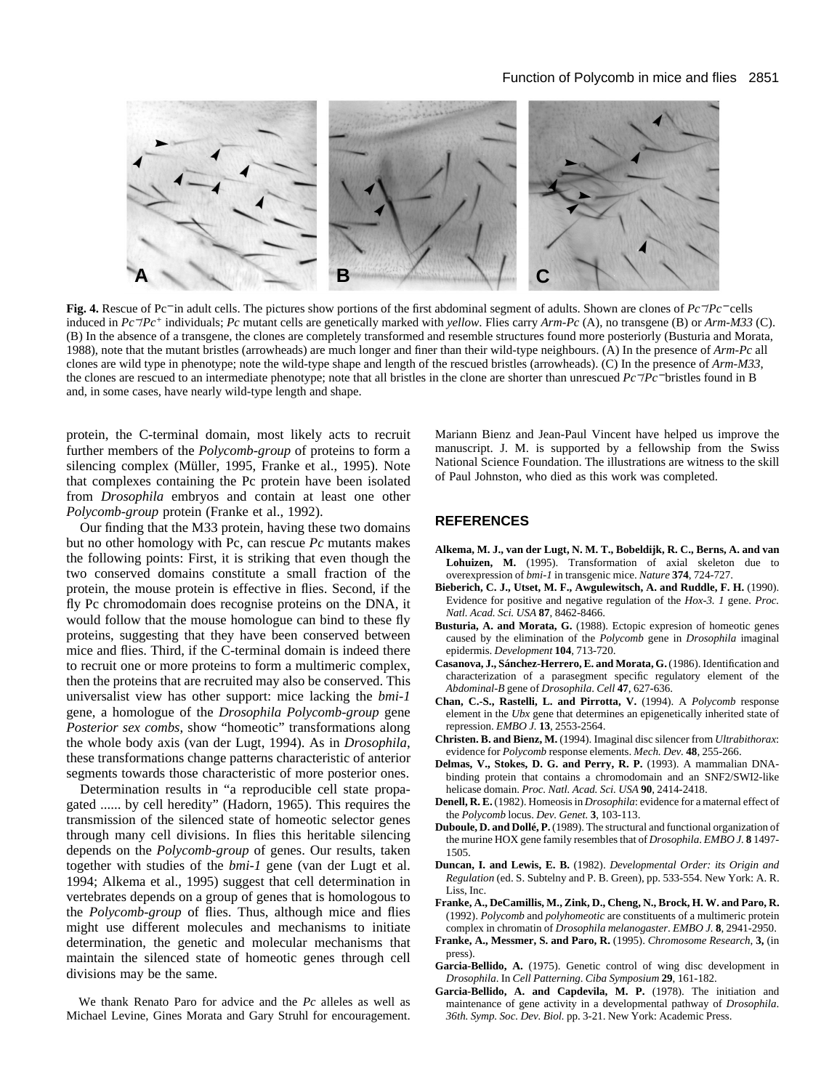

**Fig. 4.** Rescue of Pc<sup>−</sup> in adult cells. The pictures show portions of the first abdominal segment of adults. Shown are clones of *Pc*−/*Pc*<sup>−</sup> cells induced in *Pc*−/*Pc+* individuals; *Pc* mutant cells are genetically marked with *yellow*. Flies carry *Arm-Pc* (A), no transgene (B) or *Arm-M33* (C). (B) In the absence of a transgene, the clones are completely transformed and resemble structures found more posteriorly (Busturia and Morata, 1988), note that the mutant bristles (arrowheads) are much longer and finer than their wild-type neighbours. (A) In the presence of *Arm-Pc* all clones are wild type in phenotype; note the wild-type shape and length of the rescued bristles (arrowheads). (C) In the presence of *Arm-M33*, the clones are rescued to an intermediate phenotype; note that all bristles in the clone are shorter than unrescued *Pc*−/*Pc*<sup>−</sup> bristles found in B and, in some cases, have nearly wild-type length and shape.

protein, the C-terminal domain, most likely acts to recruit further members of the *Polycomb-group* of proteins to form a silencing complex (Müller, 1995, Franke et al., 1995). Note that complexes containing the Pc protein have been isolated from *Drosophila* embryos and contain at least one other *Polycomb-group* protein (Franke et al., 1992).

Our finding that the M33 protein, having these two domains but no other homology with Pc, can rescue *Pc* mutants makes the following points: First, it is striking that even though the two conserved domains constitute a small fraction of the protein, the mouse protein is effective in flies. Second, if the fly Pc chromodomain does recognise proteins on the DNA, it would follow that the mouse homologue can bind to these fly proteins, suggesting that they have been conserved between mice and flies. Third, if the C-terminal domain is indeed there to recruit one or more proteins to form a multimeric complex, then the proteins that are recruited may also be conserved. This universalist view has other support: mice lacking the *bmi-1* gene, a homologue of the *Drosophila Polycomb-group* gene *Posterior sex combs*, show "homeotic" transformations along the whole body axis (van der Lugt, 1994). As in *Drosophila*, these transformations change patterns characteristic of anterior segments towards those characteristic of more posterior ones.

Determination results in "a reproducible cell state propagated ...... by cell heredity" (Hadorn, 1965). This requires the transmission of the silenced state of homeotic selector genes through many cell divisions. In flies this heritable silencing depends on the *Polycomb-group* of genes. Our results, taken together with studies of the *bmi-1* gene (van der Lugt et al. 1994; Alkema et al., 1995) suggest that cell determination in vertebrates depends on a group of genes that is homologous to the *Polycomb-group* of flies. Thus, although mice and flies might use different molecules and mechanisms to initiate determination, the genetic and molecular mechanisms that maintain the silenced state of homeotic genes through cell divisions may be the same.

We thank Renato Paro for advice and the *Pc* alleles as well as Michael Levine, Gines Morata and Gary Struhl for encouragement.

Mariann Bienz and Jean-Paul Vincent have helped us improve the manuscript. J. M. is supported by a fellowship from the Swiss National Science Foundation. The illustrations are witness to the skill of Paul Johnston, who died as this work was completed.

### **REFERENCES**

- **Alkema, M. J., van der Lugt, N. M. T., Bobeldijk, R. C., Berns, A. and van Lohuizen, M.** (1995). Transformation of axial skeleton due to overexpression of *bmi-1* in transgenic mice. *Nature* **374**, 724-727.
- **Bieberich, C. J., Utset, M. F., Awgulewitsch, A. and Ruddle, F. H.** (1990). Evidence for positive and negative regulation of the *Hox-3. 1* gene. *Proc. Natl. Acad. Sci. USA* **87**, 8462-8466.
- **Busturia, A. and Morata, G.** (1988). Ectopic expresion of homeotic genes caused by the elimination of the *Polycomb* gene in *Drosophila* imaginal epidermis. *Development* **104**, 713-720.
- **Casanova, J., Sánchez-Herrero, E. and Morata, G.** (1986). Identification and characterization of a parasegment specific regulatory element of the *Abdominal-B* gene of *Drosophila*. *Cell* **47**, 627-636.
- **Chan, C.-S., Rastelli, L. and Pirrotta, V.** (1994). A *Polycomb* response element in the *Ubx* gene that determines an epigenetically inherited state of repression. *EMBO J.* **13**, 2553-2564.
- **Christen. B. and Bienz, M.** (1994). Imaginal disc silencer from *Ultrabithorax*: evidence for *Polycomb* response elements. *Mech. Dev.* **48**, 255-266.
- **Delmas, V., Stokes, D. G. and Perry, R. P.** (1993). A mammalian DNAbinding protein that contains a chromodomain and an SNF2/SWI2-like helicase domain. *Proc. Natl. Acad. Sci. USA* **90**, 2414-2418.
- **Denell, R. E.** (1982). Homeosis in *Drosophila*: evidence for a maternal effect of the *Polycomb* locus. *Dev. Genet.* **3**, 103-113.
- **Duboule, D. and Dollé, P.** (1989). The structural and functional organization of the murine HOX gene family resembles that of *Drosophila*. *EMBO J.* **8** 1497- 1505.
- **Duncan, I. and Lewis, E. B.** (1982). *Developmental Order: its Origin and Regulation* (ed. S. Subtelny and P. B. Green), pp. 533-554. New York: A. R. Liss, Inc.
- **Franke, A., DeCamillis, M., Zink, D., Cheng, N., Brock, H. W. and Paro, R.** (1992). *Polycomb* and *polyhomeotic* are constituents of a multimeric protein
- complex in chromatin of *Drosophila melanogaster*. *EMBO J.* **8**, 2941-2950. **Franke, A., Messmer, S. and Paro, R.** (1995). *Chromosome Research*, **3,** (in press).
- **Garcia-Bellido, A.** (1975). Genetic control of wing disc development in *Drosophila*. In *Cell Patterning*. *Ciba Symposium* **29**, 161-182.
- **Garcia-Bellido, A. and Capdevila, M. P.** (1978). The initiation and maintenance of gene activity in a developmental pathway of *Drosophila*. *36th. Symp. Soc. Dev. Biol.* pp. 3-21. New York: Academic Press.